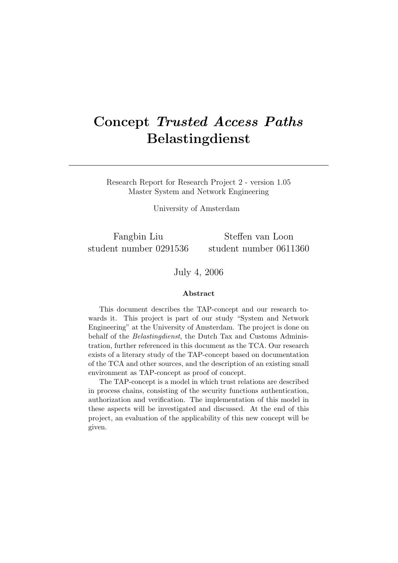# Concept Trusted Access Paths Belastingdienst

Research Report for Research Project 2 - version 1.05 Master System and Network Engineering

University of Amsterdam

Fangbin Liu student number 0291536

Steffen van Loon student number 0611360

July 4, 2006

#### Abstract

This document describes the TAP-concept and our research towards it. This project is part of our study "System and Network Engineering" at the University of Amsterdam. The project is done on behalf of the Belastingdienst, the Dutch Tax and Customs Administration, further referenced in this document as the TCA. Our research exists of a literary study of the TAP-concept based on documentation of the TCA and other sources, and the description of an existing small environment as TAP-concept as proof of concept.

The TAP-concept is a model in which trust relations are described in process chains, consisting of the security functions authentication, authorization and verification. The implementation of this model in these aspects will be investigated and discussed. At the end of this project, an evaluation of the applicability of this new concept will be given.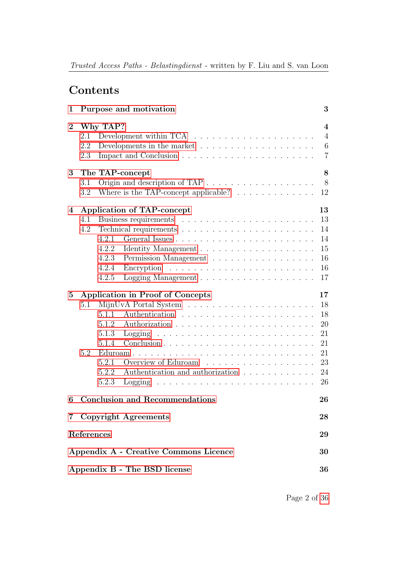## Contents

| 1              | Purpose and motivation                                                                                                                                                                                                                                                                                                                                                                                                                  | 3                                                        |
|----------------|-----------------------------------------------------------------------------------------------------------------------------------------------------------------------------------------------------------------------------------------------------------------------------------------------------------------------------------------------------------------------------------------------------------------------------------------|----------------------------------------------------------|
| $\overline{2}$ | Why TAP?<br>Development within TCA $\ldots \ldots \ldots \ldots \ldots \ldots$<br>2.1<br>2.2<br>Developments in the market $\dots \dots \dots \dots \dots \dots \dots$<br>2.3                                                                                                                                                                                                                                                           | 4<br>$\overline{4}$<br>$6\phantom{.}6$<br>$\overline{7}$ |
| 3              | The TAP-concept<br>3.1<br>Where is the TAP-concept applicable? $\ldots \ldots \ldots \ldots$<br>3.2                                                                                                                                                                                                                                                                                                                                     | 8<br>8<br>12                                             |
| 4              | Application of TAP-concept<br>4.1<br>4.2<br>4.2.1<br>4.2.2<br>4.2.3<br>Permission Management<br>4.2.4<br>4.2.5                                                                                                                                                                                                                                                                                                                          | 13<br>13<br>14<br>14<br>15<br>16<br>16<br>17             |
| $\bf{5}$       | <b>Application in Proof of Concepts</b><br>5.1<br>5.1.1<br>5.1.2<br>5.1.3<br>Logging<br>and the contract of the contract of the contract of the contract of the contract of the contract of the contract of the contract of the contract of the contract of the contract of the contract of the contract of the contra<br>5.1.4<br>5.2<br>5.2.1<br>Overview of Eduroam<br>Authentication and authorization<br>5.2.2<br>5.2.3<br>Logging | 17<br>18<br>18<br>20<br>21<br>21<br>21<br>23<br>24<br>26 |
| 6              | <b>Conclusion and Recommendations</b>                                                                                                                                                                                                                                                                                                                                                                                                   | 26                                                       |
|                | 7 Copyright Agreements                                                                                                                                                                                                                                                                                                                                                                                                                  | 28                                                       |
|                | References                                                                                                                                                                                                                                                                                                                                                                                                                              | 29                                                       |
|                | Appendix A - Creative Commons Licence                                                                                                                                                                                                                                                                                                                                                                                                   | 30                                                       |
|                | Appendix B - The BSD license                                                                                                                                                                                                                                                                                                                                                                                                            | 36                                                       |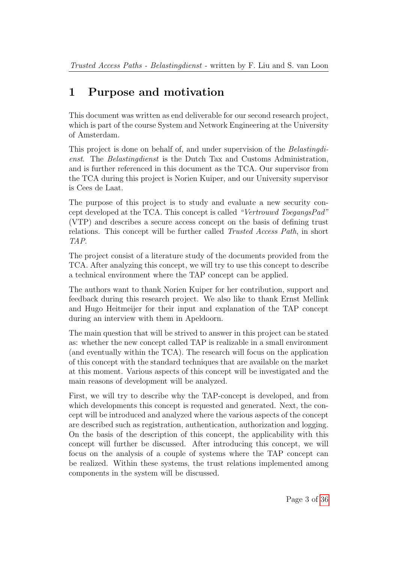# <span id="page-2-0"></span>1 Purpose and motivation

This document was written as end deliverable for our second research project, which is part of the course System and Network Engineering at the University of Amsterdam.

This project is done on behalf of, and under supervision of the Belastingdienst. The Belastingdienst is the Dutch Tax and Customs Administration, and is further referenced in this document as the TCA. Our supervisor from the TCA during this project is Norien Kuiper, and our University supervisor is Cees de Laat.

The purpose of this project is to study and evaluate a new security concept developed at the TCA. This concept is called "Vertrouwd ToegangsPad" (VTP) and describes a secure access concept on the basis of defining trust relations. This concept will be further called Trusted Access Path, in short TAP.

The project consist of a literature study of the documents provided from the TCA. After analyzing this concept, we will try to use this concept to describe a technical environment where the TAP concept can be applied.

The authors want to thank Norien Kuiper for her contribution, support and feedback during this research project. We also like to thank Ernst Mellink and Hugo Heitmeijer for their input and explanation of the TAP concept during an interview with them in Apeldoorn.

The main question that will be strived to answer in this project can be stated as: whether the new concept called TAP is realizable in a small environment (and eventually within the TCA). The research will focus on the application of this concept with the standard techniques that are available on the market at this moment. Various aspects of this concept will be investigated and the main reasons of development will be analyzed.

First, we will try to describe why the TAP-concept is developed, and from which developments this concept is requested and generated. Next, the concept will be introduced and analyzed where the various aspects of the concept are described such as registration, authentication, authorization and logging. On the basis of the description of this concept, the applicability with this concept will further be discussed. After introducing this concept, we will focus on the analysis of a couple of systems where the TAP concept can be realized. Within these systems, the trust relations implemented among components in the system will be discussed.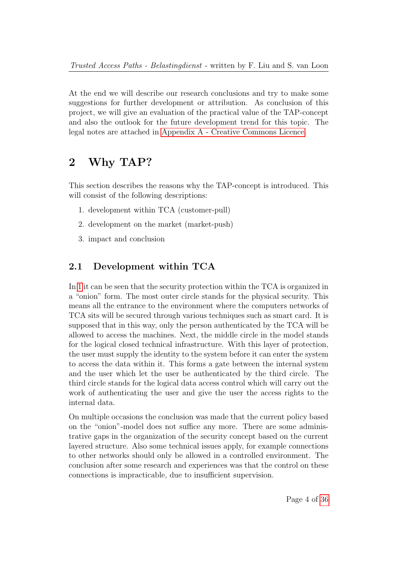At the end we will describe our research conclusions and try to make some suggestions for further development or attribution. As conclusion of this project, we will give an evaluation of the practical value of the TAP-concept and also the outlook for the future development trend for this topic. The legal notes are attached in [Appendix A - Creative Commons Licence.](#page-29-0)

## <span id="page-3-0"></span>2 Why TAP?

This section describes the reasons why the TAP-concept is introduced. This will consist of the following descriptions:

- 1. development within TCA (customer-pull)
- 2. development on the market (market-push)
- 3. impact and conclusion

### <span id="page-3-1"></span>2.1 Development within TCA

In [1](#page-4-0) it can be seen that the security protection within the TCA is organized in a "onion" form. The most outer circle stands for the physical security. This means all the entrance to the environment where the computers networks of TCA sits will be secured through various techniques such as smart card. It is supposed that in this way, only the person authenticated by the TCA will be allowed to access the machines. Next, the middle circle in the model stands for the logical closed technical infrastructure. With this layer of protection, the user must supply the identity to the system before it can enter the system to access the data within it. This forms a gate between the internal system and the user which let the user be authenticated by the third circle. The third circle stands for the logical data access control which will carry out the work of authenticating the user and give the user the access rights to the internal data.

On multiple occasions the conclusion was made that the current policy based on the "onion"-model does not suffice any more. There are some administrative gaps in the organization of the security concept based on the current layered structure. Also some technical issues apply, for example connections to other networks should only be allowed in a controlled environment. The conclusion after some research and experiences was that the control on these connections is impracticable, due to insufficient supervision.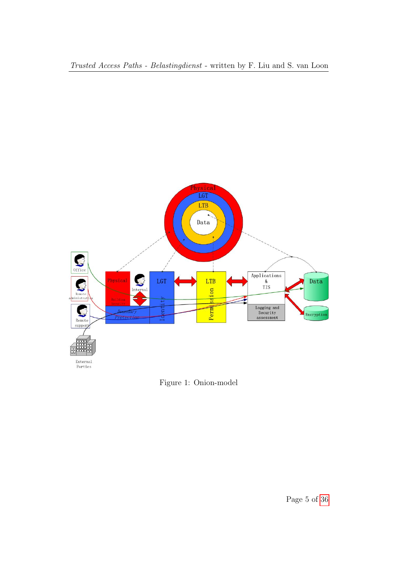

<span id="page-4-0"></span>Figure 1: Onion-model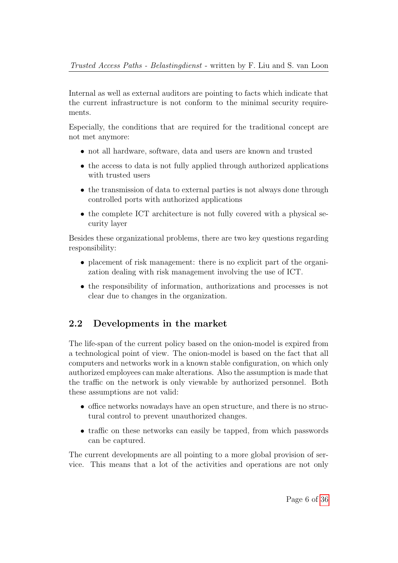Internal as well as external auditors are pointing to facts which indicate that the current infrastructure is not conform to the minimal security requirements.

Especially, the conditions that are required for the traditional concept are not met anymore:

- not all hardware, software, data and users are known and trusted
- the access to data is not fully applied through authorized applications with trusted users
- the transmission of data to external parties is not always done through controlled ports with authorized applications
- the complete ICT architecture is not fully covered with a physical security layer

Besides these organizational problems, there are two key questions regarding responsibility:

- placement of risk management: there is no explicit part of the organization dealing with risk management involving the use of ICT.
- the responsibility of information, authorizations and processes is not clear due to changes in the organization.

## <span id="page-5-0"></span>2.2 Developments in the market

The life-span of the current policy based on the onion-model is expired from a technological point of view. The onion-model is based on the fact that all computers and networks work in a known stable configuration, on which only authorized employees can make alterations. Also the assumption is made that the traffic on the network is only viewable by authorized personnel. Both these assumptions are not valid:

- office networks nowadays have an open structure, and there is no structural control to prevent unauthorized changes.
- traffic on these networks can easily be tapped, from which passwords can be captured.

The current developments are all pointing to a more global provision of service. This means that a lot of the activities and operations are not only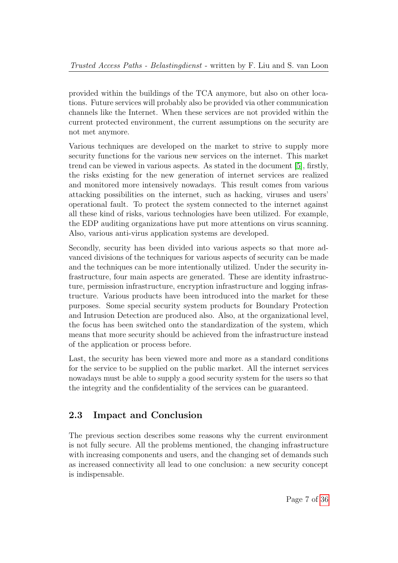provided within the buildings of the TCA anymore, but also on other locations. Future services will probably also be provided via other communication channels like the Internet. When these services are not provided within the current protected environment, the current assumptions on the security are not met anymore.

Various techniques are developed on the market to strive to supply more security functions for the various new services on the internet. This market trend can be viewed in various aspects. As stated in the document [\[5\]](#page-28-1), firstly, the risks existing for the new generation of internet services are realized and monitored more intensively nowadays. This result comes from various attacking possibilities on the internet, such as hacking, viruses and users' operational fault. To protect the system connected to the internet against all these kind of risks, various technologies have been utilized. For example, the EDP auditing organizations have put more attentions on virus scanning. Also, various anti-virus application systems are developed.

Secondly, security has been divided into various aspects so that more advanced divisions of the techniques for various aspects of security can be made and the techniques can be more intentionally utilized. Under the security infrastructure, four main aspects are generated. These are identity infrastructure, permission infrastructure, encryption infrastructure and logging infrastructure. Various products have been introduced into the market for these purposes. Some special security system products for Boundary Protection and Intrusion Detection are produced also. Also, at the organizational level, the focus has been switched onto the standardization of the system, which means that more security should be achieved from the infrastructure instead of the application or process before.

Last, the security has been viewed more and more as a standard conditions for the service to be supplied on the public market. All the internet services nowadays must be able to supply a good security system for the users so that the integrity and the confidentiality of the services can be guaranteed.

## <span id="page-6-0"></span>2.3 Impact and Conclusion

The previous section describes some reasons why the current environment is not fully secure. All the problems mentioned, the changing infrastructure with increasing components and users, and the changing set of demands such as increased connectivity all lead to one conclusion: a new security concept is indispensable.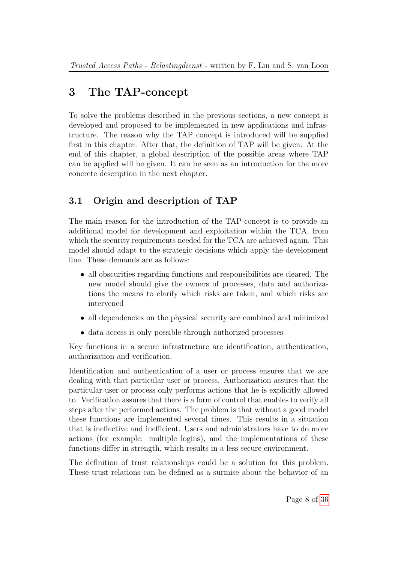# <span id="page-7-0"></span>3 The TAP-concept

To solve the problems described in the previous sections, a new concept is developed and proposed to be implemented in new applications and infrastructure. The reason why the TAP concept is introduced will be supplied first in this chapter. After that, the definition of TAP will be given. At the end of this chapter, a global description of the possible areas where TAP can be applied will be given. It can be seen as an introduction for the more concrete description in the next chapter.

## <span id="page-7-1"></span>3.1 Origin and description of TAP

The main reason for the introduction of the TAP-concept is to provide an additional model for development and exploitation within the TCA, from which the security requirements needed for the TCA are achieved again. This model should adapt to the strategic decisions which apply the development line. These demands are as follows:

- all obscurities regarding functions and responsibilities are cleared. The new model should give the owners of processes, data and authorizations the means to clarify which risks are taken, and which risks are intervened
- all dependencies on the physical security are combined and minimized
- data access is only possible through authorized processes

Key functions in a secure infrastructure are identification, authentication, authorization and verification.

Identification and authentication of a user or process ensures that we are dealing with that particular user or process. Authorization assures that the particular user or process only performs actions that he is explicitly allowed to. Verification assures that there is a form of control that enables to verify all steps after the performed actions. The problem is that without a good model these functions are implemented several times. This results in a situation that is ineffective and inefficient. Users and administrators have to do more actions (for example: multiple logins), and the implementations of these functions differ in strength, which results in a less secure environment.

The definition of trust relationships could be a solution for this problem. These trust relations can be defined as a surmise about the behavior of an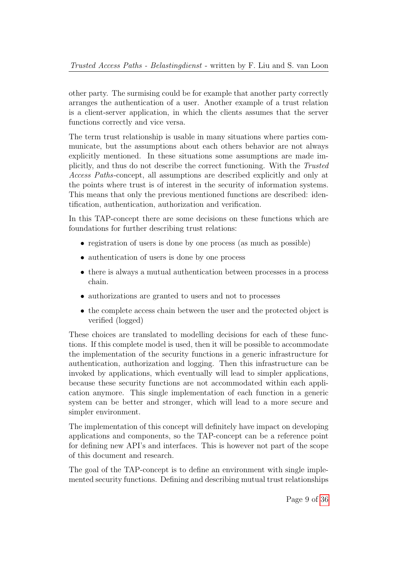other party. The surmising could be for example that another party correctly arranges the authentication of a user. Another example of a trust relation is a client-server application, in which the clients assumes that the server functions correctly and vice versa.

The term trust relationship is usable in many situations where parties communicate, but the assumptions about each others behavior are not always explicitly mentioned. In these situations some assumptions are made implicitly, and thus do not describe the correct functioning. With the Trusted Access Paths-concept, all assumptions are described explicitly and only at the points where trust is of interest in the security of information systems. This means that only the previous mentioned functions are described: identification, authentication, authorization and verification.

In this TAP-concept there are some decisions on these functions which are foundations for further describing trust relations:

- registration of users is done by one process (as much as possible)
- authentication of users is done by one process
- there is always a mutual authentication between processes in a process chain.
- authorizations are granted to users and not to processes
- the complete access chain between the user and the protected object is verified (logged)

These choices are translated to modelling decisions for each of these functions. If this complete model is used, then it will be possible to accommodate the implementation of the security functions in a generic infrastructure for authentication, authorization and logging. Then this infrastructure can be invoked by applications, which eventually will lead to simpler applications, because these security functions are not accommodated within each application anymore. This single implementation of each function in a generic system can be better and stronger, which will lead to a more secure and simpler environment.

The implementation of this concept will definitely have impact on developing applications and components, so the TAP-concept can be a reference point for defining new API's and interfaces. This is however not part of the scope of this document and research.

The goal of the TAP-concept is to define an environment with single implemented security functions. Defining and describing mutual trust relationships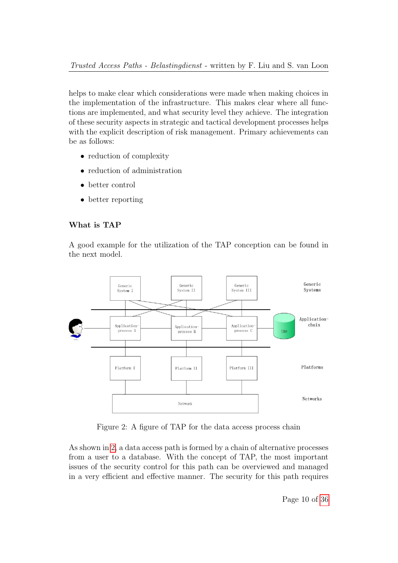helps to make clear which considerations were made when making choices in the implementation of the infrastructure. This makes clear where all functions are implemented, and what security level they achieve. The integration of these security aspects in strategic and tactical development processes helps with the explicit description of risk management. Primary achievements can be as follows:

- reduction of complexity
- reduction of administration
- better control
- better reporting

#### What is TAP

A good example for the utilization of the TAP conception can be found in the next model.



<span id="page-9-0"></span>Figure 2: A figure of TAP for the data access process chain

As shown in [2,](#page-9-0) a data access path is formed by a chain of alternative processes from a user to a database. With the concept of TAP, the most important issues of the security control for this path can be overviewed and managed in a very efficient and effective manner. The security for this path requires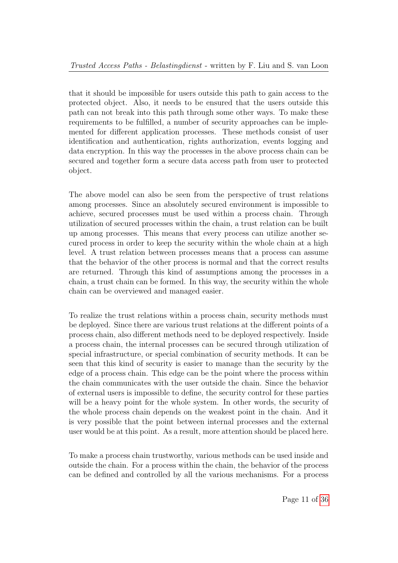that it should be impossible for users outside this path to gain access to the protected object. Also, it needs to be ensured that the users outside this path can not break into this path through some other ways. To make these requirements to be fulfilled, a number of security approaches can be implemented for different application processes. These methods consist of user identification and authentication, rights authorization, events logging and data encryption. In this way the processes in the above process chain can be secured and together form a secure data access path from user to protected object.

The above model can also be seen from the perspective of trust relations among processes. Since an absolutely secured environment is impossible to achieve, secured processes must be used within a process chain. Through utilization of secured processes within the chain, a trust relation can be built up among processes. This means that every process can utilize another secured process in order to keep the security within the whole chain at a high level. A trust relation between processes means that a process can assume that the behavior of the other process is normal and that the correct results are returned. Through this kind of assumptions among the processes in a chain, a trust chain can be formed. In this way, the security within the whole chain can be overviewed and managed easier.

To realize the trust relations within a process chain, security methods must be deployed. Since there are various trust relations at the different points of a process chain, also different methods need to be deployed respectively. Inside a process chain, the internal processes can be secured through utilization of special infrastructure, or special combination of security methods. It can be seen that this kind of security is easier to manage than the security by the edge of a process chain. This edge can be the point where the process within the chain communicates with the user outside the chain. Since the behavior of external users is impossible to define, the security control for these parties will be a heavy point for the whole system. In other words, the security of the whole process chain depends on the weakest point in the chain. And it is very possible that the point between internal processes and the external user would be at this point. As a result, more attention should be placed here.

To make a process chain trustworthy, various methods can be used inside and outside the chain. For a process within the chain, the behavior of the process can be defined and controlled by all the various mechanisms. For a process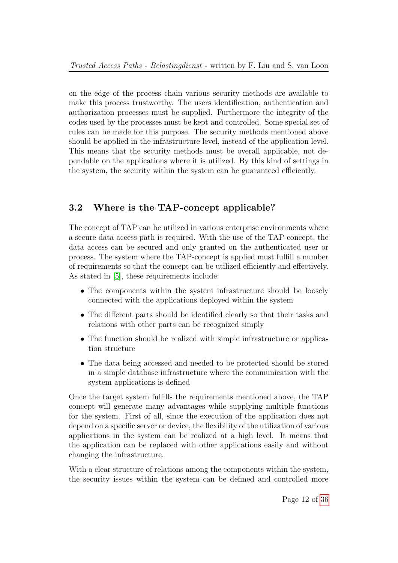on the edge of the process chain various security methods are available to make this process trustworthy. The users identification, authentication and authorization processes must be supplied. Furthermore the integrity of the codes used by the processes must be kept and controlled. Some special set of rules can be made for this purpose. The security methods mentioned above should be applied in the infrastructure level, instead of the application level. This means that the security methods must be overall applicable, not dependable on the applications where it is utilized. By this kind of settings in the system, the security within the system can be guaranteed efficiently.

## <span id="page-11-0"></span>3.2 Where is the TAP-concept applicable?

The concept of TAP can be utilized in various enterprise environments where a secure data access path is required. With the use of the TAP-concept, the data access can be secured and only granted on the authenticated user or process. The system where the TAP-concept is applied must fulfill a number of requirements so that the concept can be utilized efficiently and effectively. As stated in [\[5\]](#page-28-1), these requirements include:

- The components within the system infrastructure should be loosely connected with the applications deployed within the system
- The different parts should be identified clearly so that their tasks and relations with other parts can be recognized simply
- The function should be realized with simple infrastructure or application structure
- The data being accessed and needed to be protected should be stored in a simple database infrastructure where the communication with the system applications is defined

Once the target system fulfills the requirements mentioned above, the TAP concept will generate many advantages while supplying multiple functions for the system. First of all, since the execution of the application does not depend on a specific server or device, the flexibility of the utilization of various applications in the system can be realized at a high level. It means that the application can be replaced with other applications easily and without changing the infrastructure.

With a clear structure of relations among the components within the system, the security issues within the system can be defined and controlled more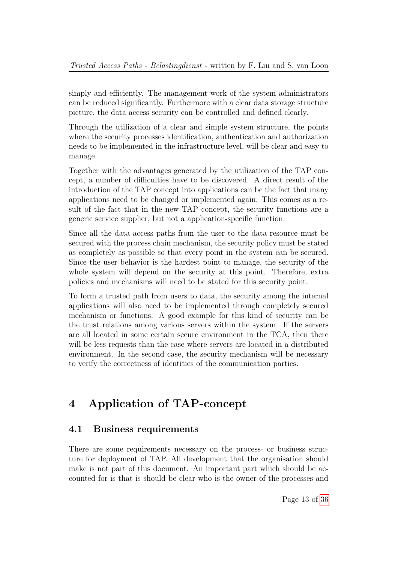simply and efficiently. The management work of the system administrators can be reduced significantly. Furthermore with a clear data storage structure picture, the data access security can be controlled and defined clearly.

Through the utilization of a clear and simple system structure, the points where the security processes identification, authentication and authorization needs to be implemented in the infrastructure level, will be clear and easy to manage.

Together with the advantages generated by the utilization of the TAP concept, a number of difficulties have to be discovered. A direct result of the introduction of the TAP concept into applications can be the fact that many applications need to be changed or implemented again. This comes as a result of the fact that in the new TAP concept, the security functions are a generic service supplier, but not a application-specific function.

Since all the data access paths from the user to the data resource must be secured with the process chain mechanism, the security policy must be stated as completely as possible so that every point in the system can be secured. Since the user behavior is the hardest point to manage, the security of the whole system will depend on the security at this point. Therefore, extra policies and mechanisms will need to be stated for this security point.

To form a trusted path from users to data, the security among the internal applications will also need to be implemented through completely secured mechanism or functions. A good example for this kind of security can be the trust relations among various servers within the system. If the servers are all located in some certain secure environment in the TCA, then there will be less requests than the case where servers are located in a distributed environment. In the second case, the security mechanism will be necessary to verify the correctness of identities of the communication parties.

## <span id="page-12-0"></span>4 Application of TAP-concept

### <span id="page-12-1"></span>4.1 Business requirements

There are some requirements necessary on the process- or business structure for deployment of TAP. All development that the organisation should make is not part of this document. An important part which should be accounted for is that is should be clear who is the owner of the processes and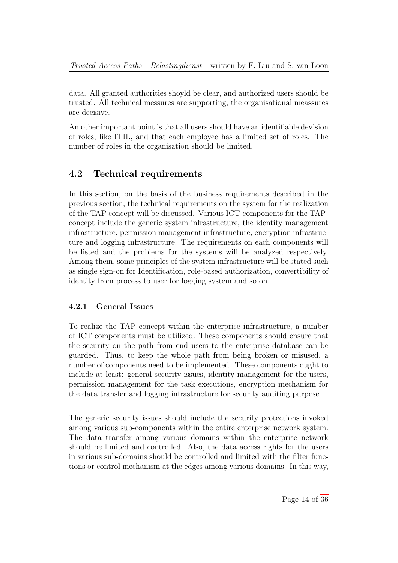data. All granted authorities shoyld be clear, and authorized users should be trusted. All technical messures are supporting, the organisational meassures are decisive.

An other important point is that all users should have an identifiable devision of roles, like ITIL, and that each employee has a limited set of roles. The number of roles in the organisation should be limited.

### <span id="page-13-0"></span>4.2 Technical requirements

In this section, on the basis of the business requirements described in the previous section, the technical requirements on the system for the realization of the TAP concept will be discussed. Various ICT-components for the TAPconcept include the generic system infrastructure, the identity management infrastructure, permission management infrastructure, encryption infrastructure and logging infrastructure. The requirements on each components will be listed and the problems for the systems will be analyzed respectively. Among them, some principles of the system infrastructure will be stated such as single sign-on for Identification, role-based authorization, convertibility of identity from process to user for logging system and so on.

### <span id="page-13-1"></span>4.2.1 General Issues

To realize the TAP concept within the enterprise infrastructure, a number of ICT components must be utilized. These components should ensure that the security on the path from end users to the enterprise database can be guarded. Thus, to keep the whole path from being broken or misused, a number of components need to be implemented. These components ought to include at least: general security issues, identity management for the users, permission management for the task executions, encryption mechanism for the data transfer and logging infrastructure for security auditing purpose.

The generic security issues should include the security protections invoked among various sub-components within the entire enterprise network system. The data transfer among various domains within the enterprise network should be limited and controlled. Also, the data access rights for the users in various sub-domains should be controlled and limited with the filter functions or control mechanism at the edges among various domains. In this way,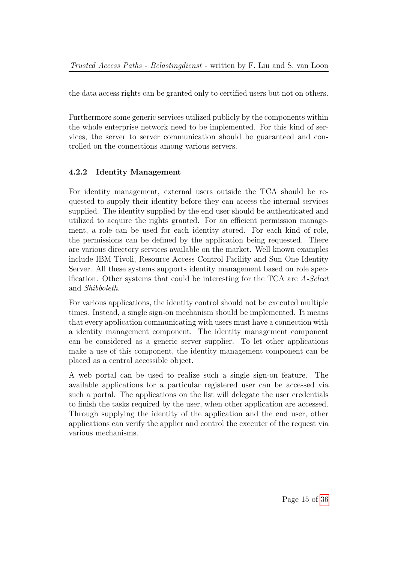the data access rights can be granted only to certified users but not on others.

Furthermore some generic services utilized publicly by the components within the whole enterprise network need to be implemented. For this kind of services, the server to server communication should be guaranteed and controlled on the connections among various servers.

### <span id="page-14-0"></span>4.2.2 Identity Management

For identity management, external users outside the TCA should be requested to supply their identity before they can access the internal services supplied. The identity supplied by the end user should be authenticated and utilized to acquire the rights granted. For an efficient permission management, a role can be used for each identity stored. For each kind of role, the permissions can be defined by the application being requested. There are various directory services available on the market. Well known examples include IBM Tivoli, Resource Access Control Facility and Sun One Identity Server. All these systems supports identity management based on role specification. Other systems that could be interesting for the TCA are A-Select and Shibboleth.

For various applications, the identity control should not be executed multiple times. Instead, a single sign-on mechanism should be implemented. It means that every application communicating with users must have a connection with a identity management component. The identity management component can be considered as a generic server supplier. To let other applications make a use of this component, the identity management component can be placed as a central accessible object.

A web portal can be used to realize such a single sign-on feature. The available applications for a particular registered user can be accessed via such a portal. The applications on the list will delegate the user credentials to finish the tasks required by the user, when other application are accessed. Through supplying the identity of the application and the end user, other applications can verify the applier and control the executer of the request via various mechanisms.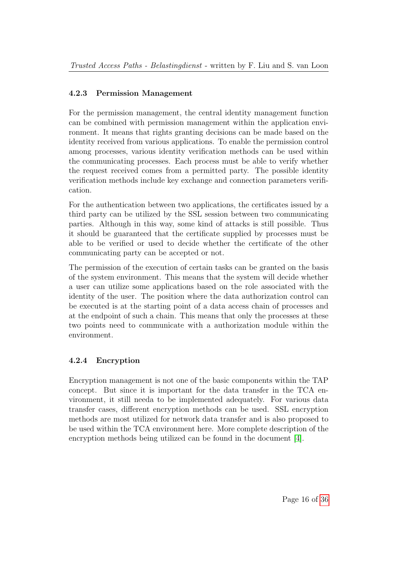### <span id="page-15-0"></span>4.2.3 Permission Management

For the permission management, the central identity management function can be combined with permission management within the application environment. It means that rights granting decisions can be made based on the identity received from various applications. To enable the permission control among processes, various identity verification methods can be used within the communicating processes. Each process must be able to verify whether the request received comes from a permitted party. The possible identity verification methods include key exchange and connection parameters verification.

For the authentication between two applications, the certificates issued by a third party can be utilized by the SSL session between two communicating parties. Although in this way, some kind of attacks is still possible. Thus it should be guaranteed that the certificate supplied by processes must be able to be verified or used to decide whether the certificate of the other communicating party can be accepted or not.

The permission of the execution of certain tasks can be granted on the basis of the system environment. This means that the system will decide whether a user can utilize some applications based on the role associated with the identity of the user. The position where the data authorization control can be executed is at the starting point of a data access chain of processes and at the endpoint of such a chain. This means that only the processes at these two points need to communicate with a authorization module within the environment.

### <span id="page-15-1"></span>4.2.4 Encryption

Encryption management is not one of the basic components within the TAP concept. But since it is important for the data transfer in the TCA environment, it still needa to be implemented adequately. For various data transfer cases, different encryption methods can be used. SSL encryption methods are most utilized for network data transfer and is also proposed to be used within the TCA environment here. More complete description of the encryption methods being utilized can be found in the document [\[4\]](#page-28-2).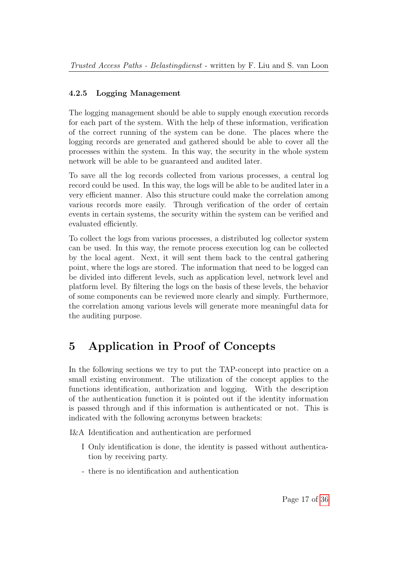### <span id="page-16-0"></span>4.2.5 Logging Management

The logging management should be able to supply enough execution records for each part of the system. With the help of these information, verification of the correct running of the system can be done. The places where the logging records are generated and gathered should be able to cover all the processes within the system. In this way, the security in the whole system network will be able to be guaranteed and audited later.

To save all the log records collected from various processes, a central log record could be used. In this way, the logs will be able to be audited later in a very efficient manner. Also this structure could make the correlation among various records more easily. Through verification of the order of certain events in certain systems, the security within the system can be verified and evaluated efficiently.

To collect the logs from various processes, a distributed log collector system can be used. In this way, the remote process execution log can be collected by the local agent. Next, it will sent them back to the central gathering point, where the logs are stored. The information that need to be logged can be divided into different levels, such as application level, network level and platform level. By filtering the logs on the basis of these levels, the behavior of some components can be reviewed more clearly and simply. Furthermore, the correlation among various levels will generate more meaningful data for the auditing purpose.

# <span id="page-16-1"></span>5 Application in Proof of Concepts

In the following sections we try to put the TAP-concept into practice on a small existing environment. The utilization of the concept applies to the functions identification, authorization and logging. With the description of the authentication function it is pointed out if the identity information is passed through and if this information is authenticated or not. This is indicated with the following acronyms between brackets:

I&A Identification and authentication are performed

- I Only identification is done, the identity is passed without authentication by receiving party.
- there is no identification and authentication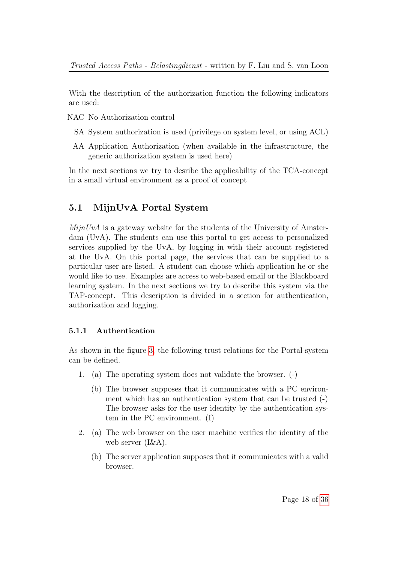With the description of the authorization function the following indicators are used:

NAC No Authorization control

- SA System authorization is used (privilege on system level, or using ACL)
- AA Application Authorization (when available in the infrastructure, the generic authorization system is used here)

In the next sections we try to desribe the applicability of the TCA-concept in a small virtual environment as a proof of concept

### <span id="page-17-0"></span>5.1 MijnUvA Portal System

 $MijnUvA$  is a gateway website for the students of the University of Amsterdam (UvA). The students can use this portal to get access to personalized services supplied by the UvA, by logging in with their account registered at the UvA. On this portal page, the services that can be supplied to a particular user are listed. A student can choose which application he or she would like to use. Examples are access to web-based email or the Blackboard learning system. In the next sections we try to describe this system via the TAP-concept. This description is divided in a section for authentication, authorization and logging.

#### <span id="page-17-1"></span>5.1.1 Authentication

As shown in the figure [3,](#page-18-0) the following trust relations for the Portal-system can be defined.

- 1. (a) The operating system does not validate the browser. (-)
	- (b) The browser supposes that it communicates with a PC environment which has an authentication system that can be trusted (-) The browser asks for the user identity by the authentication system in the PC environment. (I)
- 2. (a) The web browser on the user machine verifies the identity of the web server (I&A).
	- (b) The server application supposes that it communicates with a valid browser.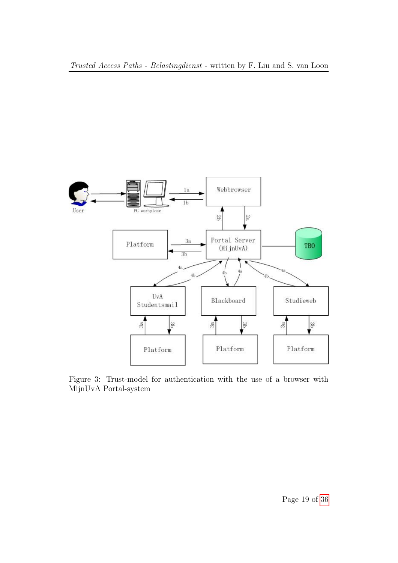

<span id="page-18-0"></span>Figure 3: Trust-model for authentication with the use of a browser with MijnUvA Portal-system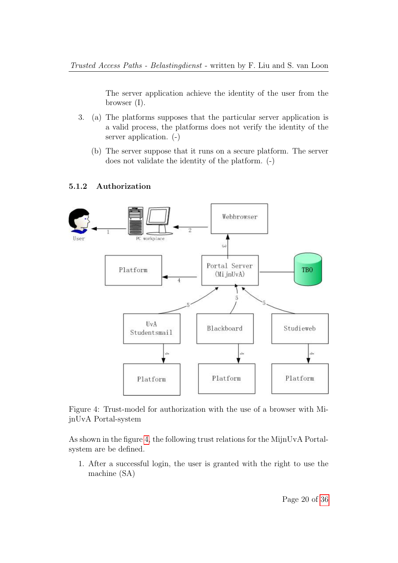The server application achieve the identity of the user from the browser (I).

- 3. (a) The platforms supposes that the particular server application is a valid process, the platforms does not verify the identity of the server application. (-)
	- (b) The server suppose that it runs on a secure platform. The server does not validate the identity of the platform. (-)

#### <span id="page-19-0"></span>5.1.2 Authorization



<span id="page-19-1"></span>Figure 4: Trust-model for authorization with the use of a browser with MijnUvA Portal-system

As shown in the figure [4,](#page-19-1) the following trust relations for the MijnUvA Portalsystem are be defined.

1. After a successful login, the user is granted with the right to use the machine (SA)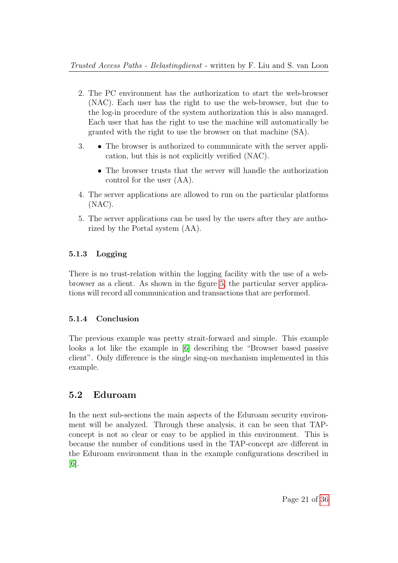- 2. The PC environment has the authorization to start the web-browser (NAC). Each user has the right to use the web-browser, but due to the log-in procedure of the system authorization this is also managed. Each user that has the right to use the machine will automatically be granted with the right to use the browser on that machine (SA).
- 3. The browser is authorized to communicate with the server application, but this is not explicitly verified (NAC).
	- The browser trusts that the server will handle the authorization control for the user (AA).
- 4. The server applications are allowed to run on the particular platforms (NAC).
- 5. The server applications can be used by the users after they are authorized by the Portal system (AA).

### <span id="page-20-0"></span>5.1.3 Logging

There is no trust-relation within the logging facility with the use of a webbrowser as a client. As shown in the figure [5,](#page-21-0) the particular server applications will record all communication and transactions that are performed.

### <span id="page-20-1"></span>5.1.4 Conclusion

The previous example was pretty strait-forward and simple. This example looks a lot like the example in [\[6\]](#page-28-3) describing the "Browser based passive client". Only difference is the single sing-on mechanism implemented in this example.

### <span id="page-20-2"></span>5.2 Eduroam

In the next sub-sections the main aspects of the Eduroam security environment will be analyzed. Through these analysis, it can be seen that TAPconcept is not so clear or easy to be applied in this environment. This is because the number of conditions used in the TAP-concept are different in the Eduroam environment than in the example configurations described in [\[6\]](#page-28-3).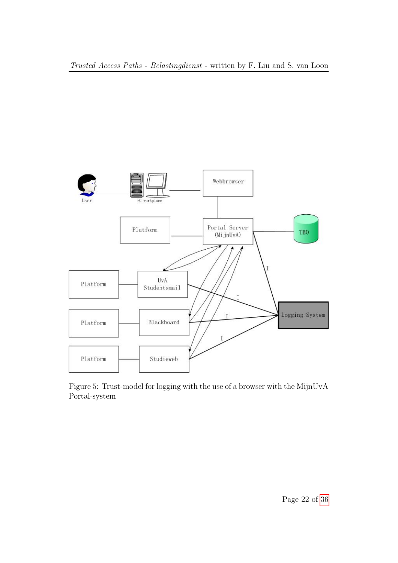

<span id="page-21-0"></span>Figure 5: Trust-model for logging with the use of a browser with the MijnUvA Portal-system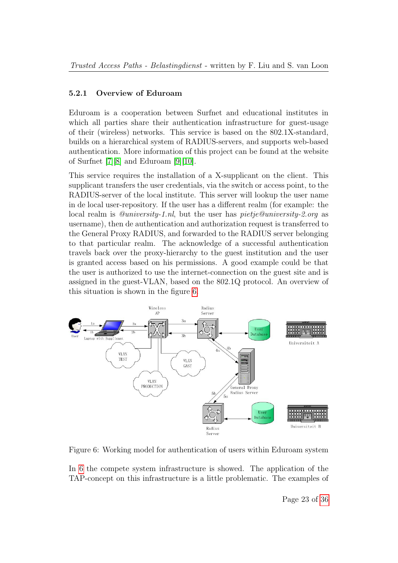#### <span id="page-22-0"></span>5.2.1 Overview of Eduroam

Eduroam is a cooperation between Surfnet and educational institutes in which all parties share their authentication infrastructure for guest-usage of their (wireless) networks. This service is based on the 802.1X-standard, builds on a hierarchical system of RADIUS-servers, and supports web-based authentication. More information of this project can be found at the website of Surfnet [\[7\]](#page-28-4)[\[8\]](#page-28-5) and Eduroam [\[9\]](#page-28-6)[\[10\]](#page-28-7).

This service requires the installation of a X-supplicant on the client. This supplicant transfers the user credentials, via the switch or access point, to the RADIUS-server of the local institute. This server will lookup the user name in de local user-repository. If the user has a different realm (for example: the local realm is @university-1.nl, but the user has pietje@university-2.org as username), then de authentication and authorization request is transferred to the General Proxy RADIUS, and forwarded to the RADIUS server belonging to that particular realm. The acknowledge of a successful authentication travels back over the proxy-hierarchy to the guest institution and the user is granted access based on his permissions. A good example could be that the user is authorized to use the internet-connection on the guest site and is assigned in the guest-VLAN, based on the 802.1Q protocol. An overview of this situation is shown in the figure [6.](#page-22-1)



<span id="page-22-1"></span>Figure 6: Working model for authentication of users within Eduroam system

In [6](#page-22-1) the compete system infrastructure is showed. The application of the TAP-concept on this infrastructure is a little problematic. The examples of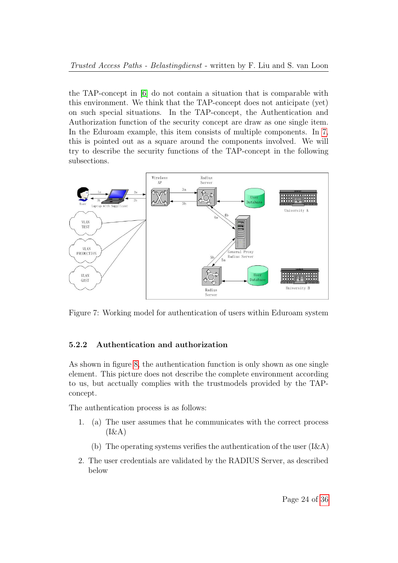the TAP-concept in [\[6\]](#page-28-3) do not contain a situation that is comparable with this environment. We think that the TAP-concept does not anticipate (yet) on such special situations. In the TAP-concept, the Authentication and Authorization function of the security concept are draw as one single item. In the Eduroam example, this item consists of multiple components. In [7,](#page-23-1) this is pointed out as a square around the components involved. We will try to describe the security functions of the TAP-concept in the following subsections.



<span id="page-23-1"></span>Figure 7: Working model for authentication of users within Eduroam system

#### <span id="page-23-0"></span>5.2.2 Authentication and authorization

As shown in figure [8,](#page-24-0) the authentication function is only shown as one single element. This picture does not describe the complete environment according to us, but acctually complies with the trustmodels provided by the TAPconcept.

The authentication process is as follows:

- 1. (a) The user assumes that he communicates with the correct process  $(I\&A)$ 
	- (b) The operating systems verifies the authentication of the user  $(I\&A)$
- 2. The user credentials are validated by the RADIUS Server, as described below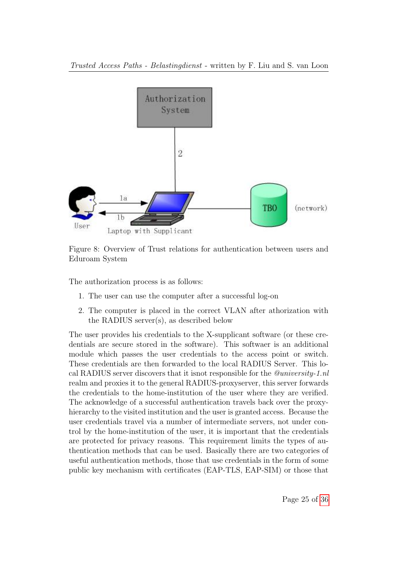

<span id="page-24-0"></span>Figure 8: Overview of Trust relations for authentication between users and Eduroam System

The authorization process is as follows:

- 1. The user can use the computer after a successful log-on
- 2. The computer is placed in the correct VLAN after athorization with the RADIUS server(s), as described below

The user provides his credentials to the X-supplicant software (or these credentials are secure stored in the software). This softwaer is an additional module which passes the user credentials to the access point or switch. These credentials are then forwarded to the local RADIUS Server. This local RADIUS server discovers that it isnot responsible for the @university-1.nl realm and proxies it to the general RADIUS-proxyserver, this server forwards the credentials to the home-institution of the user where they are verified. The acknowledge of a successful authentication travels back over the proxyhierarchy to the visited institution and the user is granted access. Because the user credentials travel via a number of intermediate servers, not under control by the home-institution of the user, it is important that the credentials are protected for privacy reasons. This requirement limits the types of authentication methods that can be used. Basically there are two categories of useful authentication methods, those that use credentials in the form of some public key mechanism with certificates (EAP-TLS, EAP-SIM) or those that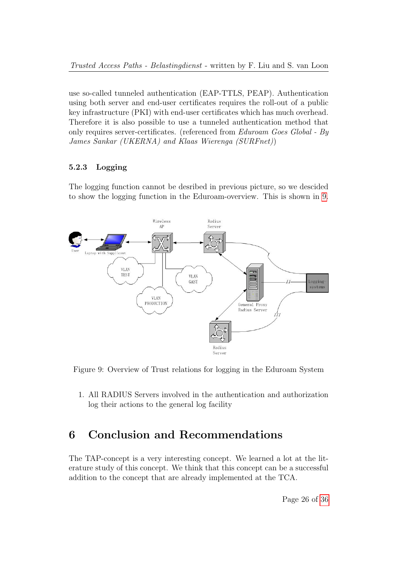use so-called tunneled authentication (EAP-TTLS, PEAP). Authentication using both server and end-user certificates requires the roll-out of a public key infrastructure (PKI) with end-user certificates which has much overhead. Therefore it is also possible to use a tunneled authentication method that only requires server-certificates. (referenced from Eduroam Goes Global - By James Sankar (UKERNA) and Klaas Wierenga (SURFnet))

### <span id="page-25-0"></span>5.2.3 Logging

The logging function cannot be desribed in previous picture, so we descided to show the logging function in the Eduroam-overview. This is shown in [9.](#page-25-2)



<span id="page-25-2"></span>Figure 9: Overview of Trust relations for logging in the Eduroam System

1. All RADIUS Servers involved in the authentication and authorization log their actions to the general log facility

## <span id="page-25-1"></span>6 Conclusion and Recommendations

The TAP-concept is a very interesting concept. We learned a lot at the literature study of this concept. We think that this concept can be a successful addition to the concept that are already implemented at the TCA.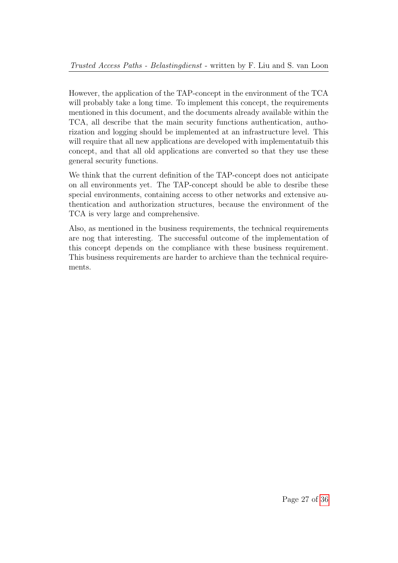However, the application of the TAP-concept in the environment of the TCA will probably take a long time. To implement this concept, the requirements mentioned in this document, and the documents already available within the TCA, all describe that the main security functions authentication, authorization and logging should be implemented at an infrastructure level. This will require that all new applications are developed with implementatuib this concept, and that all old applications are converted so that they use these general security functions.

We think that the current definition of the TAP-concept does not anticipate on all environments yet. The TAP-concept should be able to desribe these special environments, containing access to other networks and extensive authentication and authorization structures, because the environment of the TCA is very large and comprehensive.

Also, as mentioned in the business requirements, the technical requirements are nog that interesting. The successful outcome of the implementation of this concept depends on the compliance with these business requirement. This business requirements are harder to archieve than the technical requirements.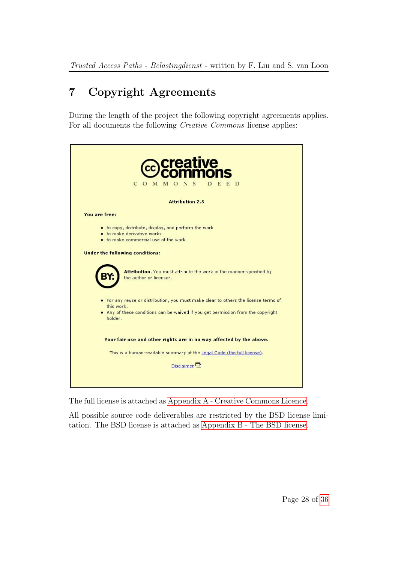# <span id="page-27-0"></span>7 Copyright Agreements

During the length of the project the following copyright agreements applies. For all documents the following Creative Commons license applies:

| <b>ive</b><br>$\mathbf C$<br>E<br>D<br>M M O<br>N<br>S<br>D<br>$\circ$                                                                                                                                                                                                                                                                                                                                                                                                     |
|----------------------------------------------------------------------------------------------------------------------------------------------------------------------------------------------------------------------------------------------------------------------------------------------------------------------------------------------------------------------------------------------------------------------------------------------------------------------------|
| <b>Attribution 2.5</b>                                                                                                                                                                                                                                                                                                                                                                                                                                                     |
| You are free:                                                                                                                                                                                                                                                                                                                                                                                                                                                              |
| • to copy, distribute, display, and perform the work<br>• to make derivative works<br>• to make commercial use of the work<br><b>Under the following conditions:</b><br>Attribution. You must attribute the work in the manner specified by<br>the author or licensor.<br>• For any reuse or distribution, you must make clear to others the license terms of<br>this work.<br>. Any of these conditions can be waived if you get permission from the copyright<br>holder. |
| Your fair use and other rights are in no way affected by the above.                                                                                                                                                                                                                                                                                                                                                                                                        |
| This is a human-readable summary of the Legal Code (the full license).<br>Disclaimer <sup>[1]</sup>                                                                                                                                                                                                                                                                                                                                                                        |
|                                                                                                                                                                                                                                                                                                                                                                                                                                                                            |

The full license is attached as [Appendix A - Creative Commons Licence.](#page-29-0)

All possible source code deliverables are restricted by the BSD license limitation. The BSD license is attached as [Appendix B - The BSD license.](#page-35-0)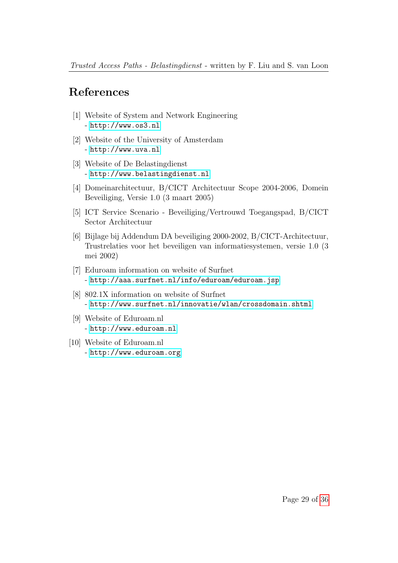## References

- <span id="page-28-0"></span>[1] Website of System and Network Engineering - <http://www.os3.nl>
- [2] Website of the University of Amsterdam - <http://www.uva.nl>
- [3] Website of De Belastingdienst - <http://www.belastingdienst.nl>
- <span id="page-28-2"></span>[4] Domeinarchitectuur, B/CICT Architectuur Scope 2004-2006, Domein Beveiliging, Versie 1.0 (3 maart 2005)
- <span id="page-28-1"></span>[5] ICT Service Scenario - Beveiliging/Vertrouwd Toegangspad, B/CICT Sector Architectuur
- <span id="page-28-3"></span>[6] Bijlage bij Addendum DA beveiliging 2000-2002, B/CICT-Architectuur, Trustrelaties voor het beveiligen van informatiesystemen, versie 1.0 (3 mei 2002)
- <span id="page-28-4"></span>[7] Eduroam information on website of Surfnet - <http://aaa.surfnet.nl/info/eduroam/eduroam.jsp>
- <span id="page-28-5"></span>[8] 802.1X information on website of Surfnet - <http://www.surfnet.nl/innovatie/wlan/crossdomain.shtml>
- <span id="page-28-6"></span>[9] Website of Eduroam.nl - <http://www.eduroam.nl>
- <span id="page-28-7"></span>[10] Website of Eduroam.nl - <http://www.eduroam.org>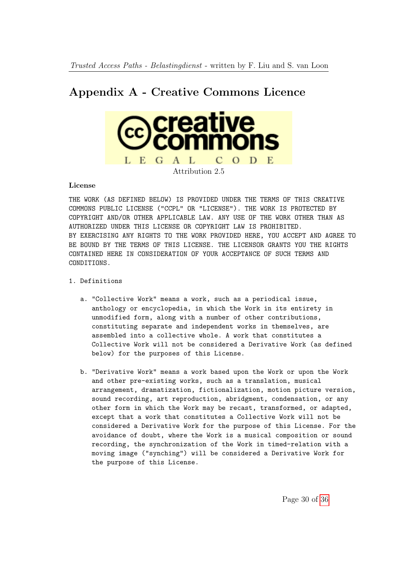## <span id="page-29-0"></span>Appendix A - Creative Commons Licence



#### License

THE WORK (AS DEFINED BELOW) IS PROVIDED UNDER THE TERMS OF THIS CREATIVE COMMONS PUBLIC LICENSE ("CCPL" OR "LICENSE"). THE WORK IS PROTECTED BY COPYRIGHT AND/OR OTHER APPLICABLE LAW. ANY USE OF THE WORK OTHER THAN AS AUTHORIZED UNDER THIS LICENSE OR COPYRIGHT LAW IS PROHIBITED. BY EXERCISING ANY RIGHTS TO THE WORK PROVIDED HERE, YOU ACCEPT AND AGREE TO BE BOUND BY THE TERMS OF THIS LICENSE. THE LICENSOR GRANTS YOU THE RIGHTS CONTAINED HERE IN CONSIDERATION OF YOUR ACCEPTANCE OF SUCH TERMS AND CONDITIONS.

- 1. Definitions
	- a. "Collective Work" means a work, such as a periodical issue, anthology or encyclopedia, in which the Work in its entirety in unmodified form, along with a number of other contributions, constituting separate and independent works in themselves, are assembled into a collective whole. A work that constitutes a Collective Work will not be considered a Derivative Work (as defined below) for the purposes of this License.
	- b. "Derivative Work" means a work based upon the Work or upon the Work and other pre-existing works, such as a translation, musical arrangement, dramatization, fictionalization, motion picture version, sound recording, art reproduction, abridgment, condensation, or any other form in which the Work may be recast, transformed, or adapted, except that a work that constitutes a Collective Work will not be considered a Derivative Work for the purpose of this License. For the avoidance of doubt, where the Work is a musical composition or sound recording, the synchronization of the Work in timed-relation with a moving image ("synching") will be considered a Derivative Work for the purpose of this License.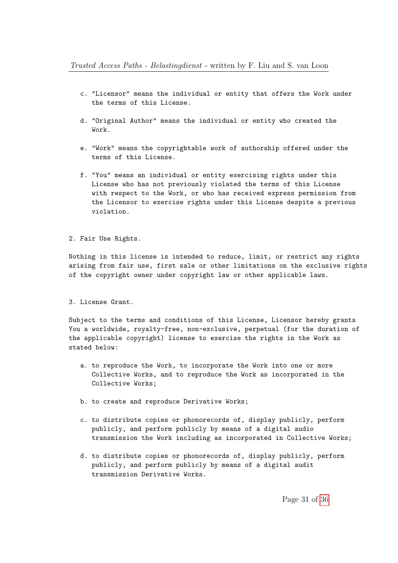- c. "Licensor" means the individual or entity that offers the Work under the terms of this License.
- d. "Original Author" means the individual or entity who created the Work.
- e. "Work" means the copyrightable work of authorship offered under the terms of this License.
- f. "You" means an individual or entity exercising rights under this License who has not previously violated the terms of this License with respect to the Work, or who has received express permission from the Licensor to exercise rights under this License despite a previous violation.

#### 2. Fair Use Rights.

Nothing in this license is intended to reduce, limit, or restrict any rights arising from fair use, first sale or other limitations on the exclusive rights of the copyright owner under copyright law or other applicable laws.

#### 3. License Grant.

Subject to the terms and conditions of this License, Licensor hereby grants You a worldwide, royalty-free, non-exclusive, perpetual (for the duration of the applicable copyright) license to exercise the rights in the Work as stated below:

- a. to reproduce the Work, to incorporate the Work into one or more Collective Works, and to reproduce the Work as incorporated in the Collective Works;
- b. to create and reproduce Derivative Works;
- c. to distribute copies or phonorecords of, display publicly, perform publicly, and perform publicly by means of a digital audio transmission the Work including as incorporated in Collective Works;
- d. to distribute copies or phonorecords of, display publicly, perform publicly, and perform publicly by means of a digital audit transmission Derivative Works.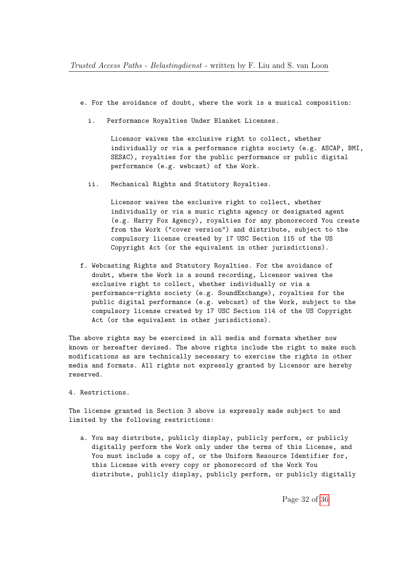- e. For the avoidance of doubt, where the work is a musical composition:
	- i. Performance Royalties Under Blanket Licenses.

Licensor waives the exclusive right to collect, whether individually or via a performance rights society (e.g. ASCAP, BMI, SESAC), royalties for the public performance or public digital performance (e.g. webcast) of the Work.

ii. Mechanical Rights and Statutory Royalties.

Licensor waives the exclusive right to collect, whether individually or via a music rights agency or designated agent (e.g. Harry Fox Agency), royalties for any phonorecord You create from the Work ("cover version") and distribute, subject to the compulsory license created by 17 USC Section 115 of the US Copyright Act (or the equivalent in other jurisdictions).

f. Webcasting Rights and Statutory Royalties. For the avoidance of doubt, where the Work is a sound recording, Licensor waives the exclusive right to collect, whether individually or via a performance-rights society (e.g. SoundExchange), royalties for the public digital performance (e.g. webcast) of the Work, subject to the compulsory license created by 17 USC Section 114 of the US Copyright Act (or the equivalent in other jurisdictions).

The above rights may be exercised in all media and formats whether now known or hereafter devised. The above rights include the right to make such modifications as are technically necessary to exercise the rights in other media and formats. All rights not expressly granted by Licensor are hereby reserved.

4. Restrictions.

The license granted in Section 3 above is expressly made subject to and limited by the following restrictions:

a. You may distribute, publicly display, publicly perform, or publicly digitally perform the Work only under the terms of this License, and You must include a copy of, or the Uniform Resource Identifier for, this License with every copy or phonorecord of the Work You distribute, publicly display, publicly perform, or publicly digitally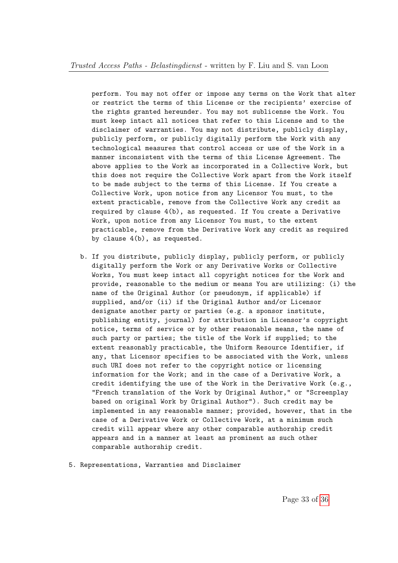perform. You may not offer or impose any terms on the Work that alter or restrict the terms of this License or the recipients' exercise of the rights granted hereunder. You may not sublicense the Work. You must keep intact all notices that refer to this License and to the disclaimer of warranties. You may not distribute, publicly display, publicly perform, or publicly digitally perform the Work with any technological measures that control access or use of the Work in a manner inconsistent with the terms of this License Agreement. The above applies to the Work as incorporated in a Collective Work, but this does not require the Collective Work apart from the Work itself to be made subject to the terms of this License. If You create a Collective Work, upon notice from any Licensor You must, to the extent practicable, remove from the Collective Work any credit as required by clause 4(b), as requested. If You create a Derivative Work, upon notice from any Licensor You must, to the extent practicable, remove from the Derivative Work any credit as required by clause 4(b), as requested.

- b. If you distribute, publicly display, publicly perform, or publicly digitally perform the Work or any Derivative Works or Collective Works, You must keep intact all copyright notices for the Work and provide, reasonable to the medium or means You are utilizing: (i) the name of the Original Author (or pseudonym, if applicable) if supplied, and/or (ii) if the Original Author and/or Licensor designate another party or parties (e.g. a sponsor institute, publishing entity, journal) for attribution in Licensor's copyright notice, terms of service or by other reasonable means, the name of such party or parties; the title of the Work if supplied; to the extent reasonably practicable, the Uniform Resource Identifier, if any, that Licensor specifies to be associated with the Work, unless such URI does not refer to the copyright notice or licensing information for the Work; and in the case of a Derivative Work, a credit identifying the use of the Work in the Derivative Work (e.g., "French translation of the Work by Original Author," or "Screenplay based on original Work by Original Author"). Such credit may be implemented in any reasonable manner; provided, however, that in the case of a Derivative Work or Collective Work, at a minimum such credit will appear where any other comparable authorship credit appears and in a manner at least as prominent as such other comparable authorship credit.
- 5. Representations, Warranties and Disclaimer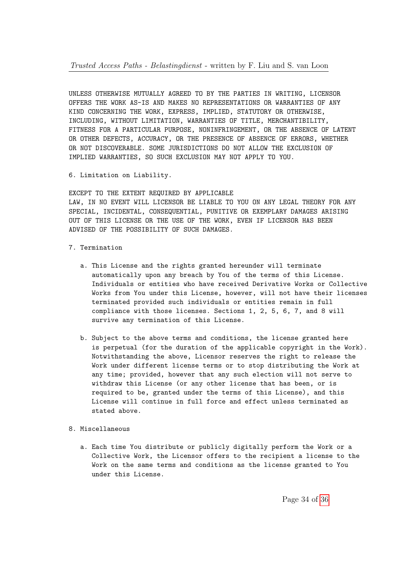UNLESS OTHERWISE MUTUALLY AGREED TO BY THE PARTIES IN WRITING, LICENSOR OFFERS THE WORK AS-IS AND MAKES NO REPRESENTATIONS OR WARRANTIES OF ANY KIND CONCERNING THE WORK, EXPRESS, IMPLIED, STATUTORY OR OTHERWISE, INCLUDING, WITHOUT LIMITATION, WARRANTIES OF TITLE, MERCHANTIBILITY, FITNESS FOR A PARTICULAR PURPOSE, NONINFRINGEMENT, OR THE ABSENCE OF LATENT OR OTHER DEFECTS, ACCURACY, OR THE PRESENCE OF ABSENCE OF ERRORS, WHETHER OR NOT DISCOVERABLE. SOME JURISDICTIONS DO NOT ALLOW THE EXCLUSION OF IMPLIED WARRANTIES, SO SUCH EXCLUSION MAY NOT APPLY TO YOU.

6. Limitation on Liability.

EXCEPT TO THE EXTENT REQUIRED BY APPLICABLE LAW, IN NO EVENT WILL LICENSOR BE LIABLE TO YOU ON ANY LEGAL THEORY FOR ANY SPECIAL, INCIDENTAL, CONSEQUENTIAL, PUNITIVE OR EXEMPLARY DAMAGES ARISING OUT OF THIS LICENSE OR THE USE OF THE WORK, EVEN IF LICENSOR HAS BEEN ADVISED OF THE POSSIBILITY OF SUCH DAMAGES.

- 7. Termination
	- a. This License and the rights granted hereunder will terminate automatically upon any breach by You of the terms of this License. Individuals or entities who have received Derivative Works or Collective Works from You under this License, however, will not have their licenses terminated provided such individuals or entities remain in full compliance with those licenses. Sections 1, 2, 5, 6, 7, and 8 will survive any termination of this License.
	- b. Subject to the above terms and conditions, the license granted here is perpetual (for the duration of the applicable copyright in the Work). Notwithstanding the above, Licensor reserves the right to release the Work under different license terms or to stop distributing the Work at any time; provided, however that any such election will not serve to withdraw this License (or any other license that has been, or is required to be, granted under the terms of this License), and this License will continue in full force and effect unless terminated as stated above.
- 8. Miscellaneous
	- a. Each time You distribute or publicly digitally perform the Work or a Collective Work, the Licensor offers to the recipient a license to the Work on the same terms and conditions as the license granted to You under this License.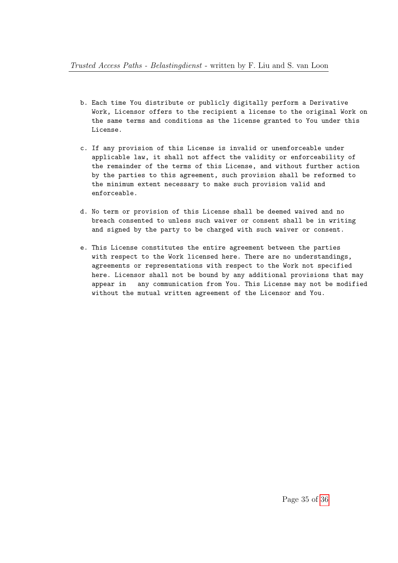- b. Each time You distribute or publicly digitally perform a Derivative Work, Licensor offers to the recipient a license to the original Work on the same terms and conditions as the license granted to You under this License.
- c. If any provision of this License is invalid or unenforceable under applicable law, it shall not affect the validity or enforceability of the remainder of the terms of this License, and without further action by the parties to this agreement, such provision shall be reformed to the minimum extent necessary to make such provision valid and enforceable.
- d. No term or provision of this License shall be deemed waived and no breach consented to unless such waiver or consent shall be in writing and signed by the party to be charged with such waiver or consent.
- e. This License constitutes the entire agreement between the parties with respect to the Work licensed here. There are no understandings, agreements or representations with respect to the Work not specified here. Licensor shall not be bound by any additional provisions that may appear in any communication from You. This License may not be modified without the mutual written agreement of the Licensor and You.